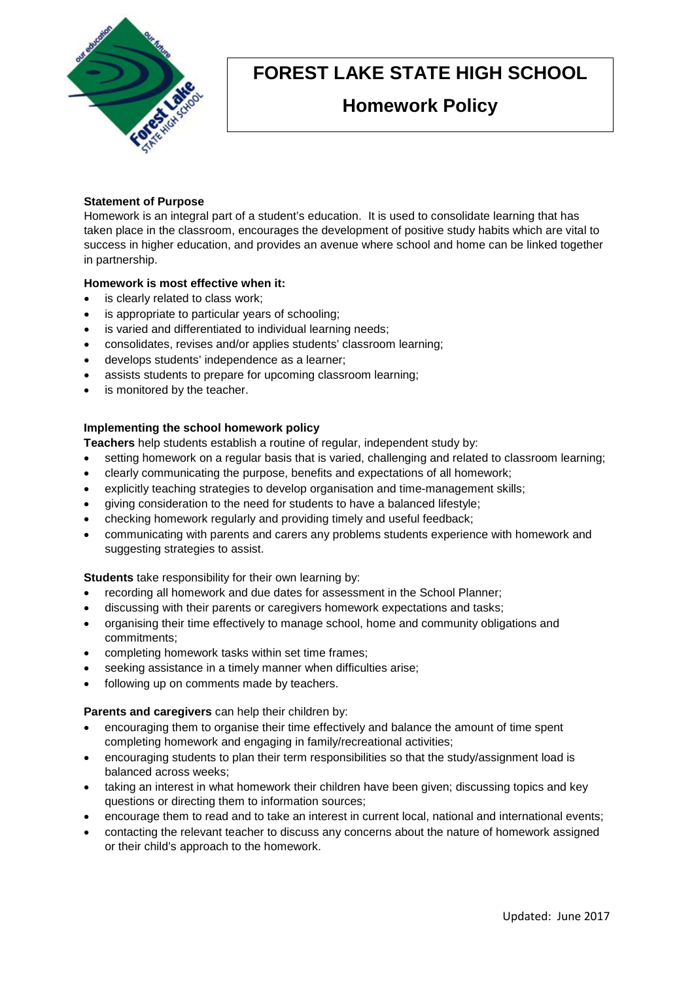

# **FOREST LAKE STATE HIGH SCHOOL**

# **Homework Policy**

# **Statement of Purpose**

Homework is an integral part of a student's education. It is used to consolidate learning that has taken place in the classroom, encourages the development of positive study habits which are vital to success in higher education, and provides an avenue where school and home can be linked together in partnership.

## **Homework is most effective when it:**

- is clearly related to class work;
- is appropriate to particular years of schooling;
- is varied and differentiated to individual learning needs:
- consolidates, revises and/or applies students' classroom learning;
- develops students' independence as a learner;
- assists students to prepare for upcoming classroom learning;
- is monitored by the teacher.

# **Implementing the school homework policy**

**Teachers** help students establish a routine of regular, independent study by:

- setting homework on a regular basis that is varied, challenging and related to classroom learning;
- clearly communicating the purpose, benefits and expectations of all homework;
- explicitly teaching strategies to develop organisation and time-management skills;
- giving consideration to the need for students to have a balanced lifestyle;
- checking homework regularly and providing timely and useful feedback;
- communicating with parents and carers any problems students experience with homework and suggesting strategies to assist.

**Students** take responsibility for their own learning by:

- recording all homework and due dates for assessment in the School Planner;
- discussing with their parents or caregivers homework expectations and tasks;
- organising their time effectively to manage school, home and community obligations and commitments;
- completing homework tasks within set time frames;
- seeking assistance in a timely manner when difficulties arise;
- following up on comments made by teachers.

**Parents and caregivers** can help their children by:

- encouraging them to organise their time effectively and balance the amount of time spent completing homework and engaging in family/recreational activities;
- encouraging students to plan their term responsibilities so that the study/assignment load is balanced across weeks;
- taking an interest in what homework their children have been given; discussing topics and key questions or directing them to information sources;
- encourage them to read and to take an interest in current local, national and international events;
- contacting the relevant teacher to discuss any concerns about the nature of homework assigned or their child's approach to the homework.